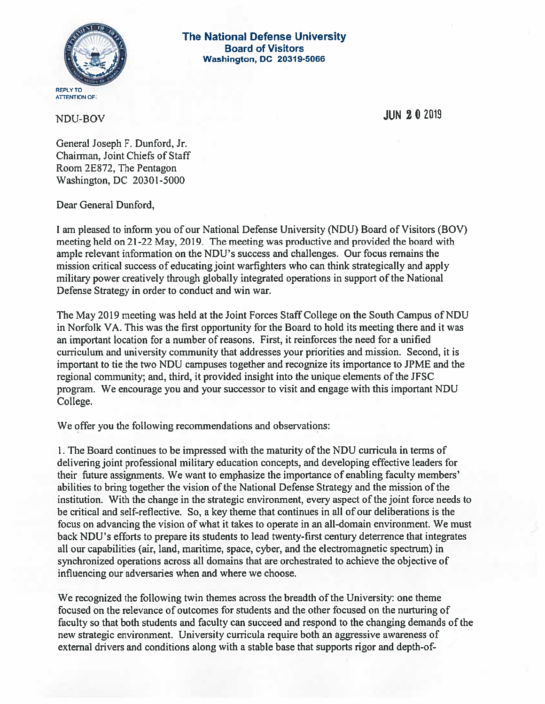

The National Defense University Board of Visitors Washington, DC 20319-5066

NDU-BOV JUN <sup>2</sup> 0 <sup>2019</sup>

General Joseph F. Dunford, Jr. Chairman, Joint Chiefs of Staff Room 2E872, The Pentagon Washington, DC 20301-5000

Dear General Dunford,

<sup>I</sup> am pleased to inform you of our National Defense University (NDU) Board of Visitors (BOV) meeting held on 21-22 May, 2019. The meeting was productive and provided the board with ample relevant information on the NDU's success and challenges. Our focus remains the mission critical success of educating joint warfighters who can think strategically and apply military power creatively through globally integrated operations in support of the National Defense Strategy in order to conduct and win war.

The May 2019 meeting was held at the Joint Forces Staff College on the South Campus of NDU in Norfolk VA. This was the first opportunity for the Board to hold its meeting there and it was an important location for a number of reasons. First, it reinforces the need for a unified curriculum and university community that addresses your priorities and mission. Second, it is important to tie the two NDU campuses together and recognize its importance to JPME and the regional community; and, third, it provided insight into the unique elements of the JFSC program. We encourage you and your successor to visit and engage with this important NDU College.

We offer you the following recommendations and observations:

1. The Board continues to be impressed with the maturity of the NDU curricula in terms of delivering joint professional military education concepts, and developing effective leaders for their future assignments. We want to emphasize the importance of enabling faculty members' abilities to bring together the vision of the National Defense Strategy and the mission of the institution. With the change in the strategic environment, every aspect of the joint force needs to be critical and self-reflective. So, a key theme that continues in all of our deliberations is the focus on advancing the vision of what it takes to operate in an all-domain environment. We must back NDU's efforts to prepare its students to lead twenty-first century deterrence that integrates all our capabilities (air, land, maritime, space, cyber, and the electromagnetic spectrum) in synchronized operations across all domains that are orchestrated to achieve the objective of influencing our adversaries when and where we choose.

We recognized the following twin themes across the breadth of the University: one theme focused on the relevance of outcomes for students and the other focused on the nurturing of faculty so that both students and faculty can succeed and respond to the changing demands of the new strategic environment. University curricula require both an aggressive awareness of external drivers and conditions along with a stable base that supports rigor and depth-of